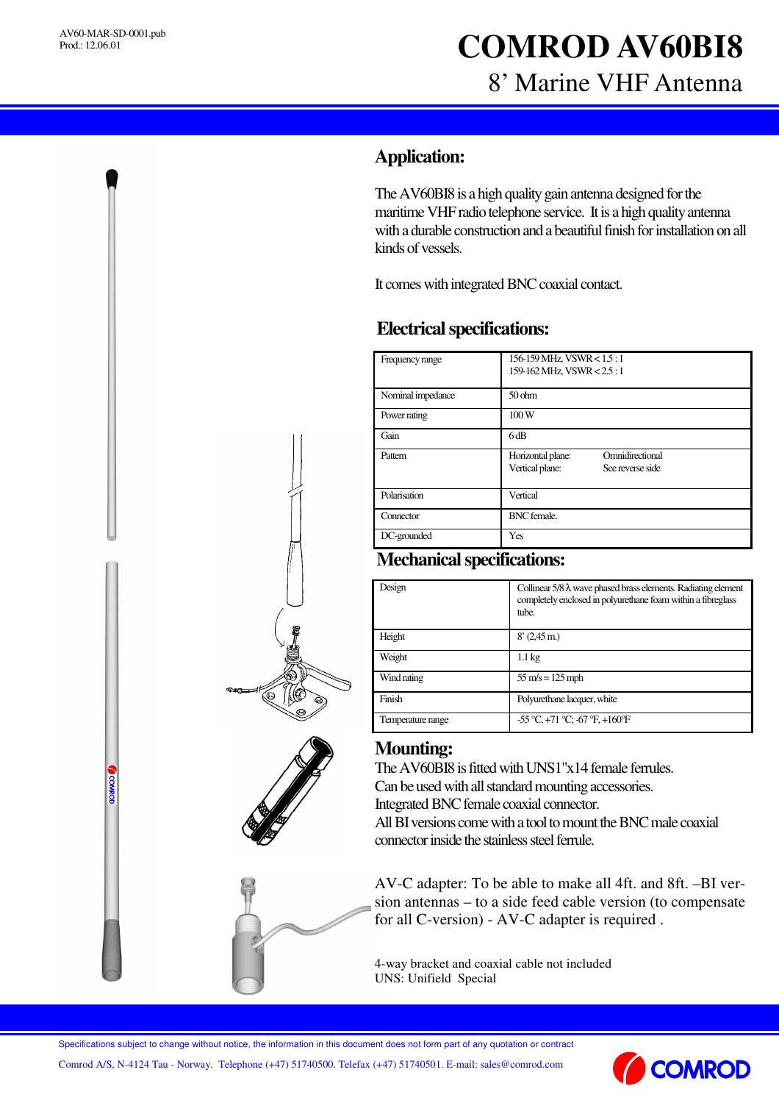**COMMOD** 

# **COMROD AV60BI8** 8' Marine VHF Antenna

## **Application:**

The AV60BI8 is a high quality gain antenna designed for the maritime VHF radio telephone service. It is a high quality antenna with a durable construction and a beautiful finish for installation on all kinds of vessels.

It comes with integrated BNC coaxial contact.

### **Electricalspecifications:**

| Frequency range   | 156-159 MHz, VSWR < 1.5:1<br>159-162 MHz, VSWR < 2.5:1                      |
|-------------------|-----------------------------------------------------------------------------|
| Nominal impedance | 50 <sub>ohm</sub>                                                           |
| Power rating      | 100W                                                                        |
| Gain              | 6dB                                                                         |
| Pattern           | Omnidirectional<br>Horizontal plane:<br>Vertical plane:<br>See reverse side |
| Polarisation      | Vertical                                                                    |
| Connector         | <b>BNC</b> female.                                                          |
| DC-grounded       | Yes                                                                         |

#### **Mechanical specifications:**

| Design            | Collinear $5/8 \lambda$ wave phased brass elements. Radiating element<br>completely enclosed in polyurethane foam within a fibreglass<br>tube. |
|-------------------|------------------------------------------------------------------------------------------------------------------------------------------------|
| Height            | $8'(2.45 \,\mathrm{m})$                                                                                                                        |
| Weight            | $1.1 \text{ kg}$                                                                                                                               |
| Wind rating       | $55 \text{ m/s} = 125 \text{ mph}$                                                                                                             |
| Finish            | Polyurethane lacquer, white                                                                                                                    |
| Temperature range | $-55^{\circ}$ C, $+71^{\circ}$ C; $-67^{\circ}$ F, $+160^{\circ}$ F                                                                            |





#### **Mounting:**

The AV60BI8 is fitted with UNS1"x14 female ferrules. Can be used with all standard mounting accessories. Integrated BNC female coaxial connector. All BI versions come with a tool to mount the BNC male coaxial

connector inside the stainless steel fermle.

AV-C adapter: To be able to make all 4ft. and 8ft. –BI version antennas – to a side feed cable version (to compensate for all C-version) - AV-C adapter is required .

4-way bracket and coaxial cable not included UNS: Unifield Special

Specifications subject to change without notice, the information in this document does not form part of any quotation or contract

Comrod A/S, N-4124 Tau - Norway. Telephone (+47) 51740500. Telefax (+47) 51740501. E-mail: sales@comrod.com